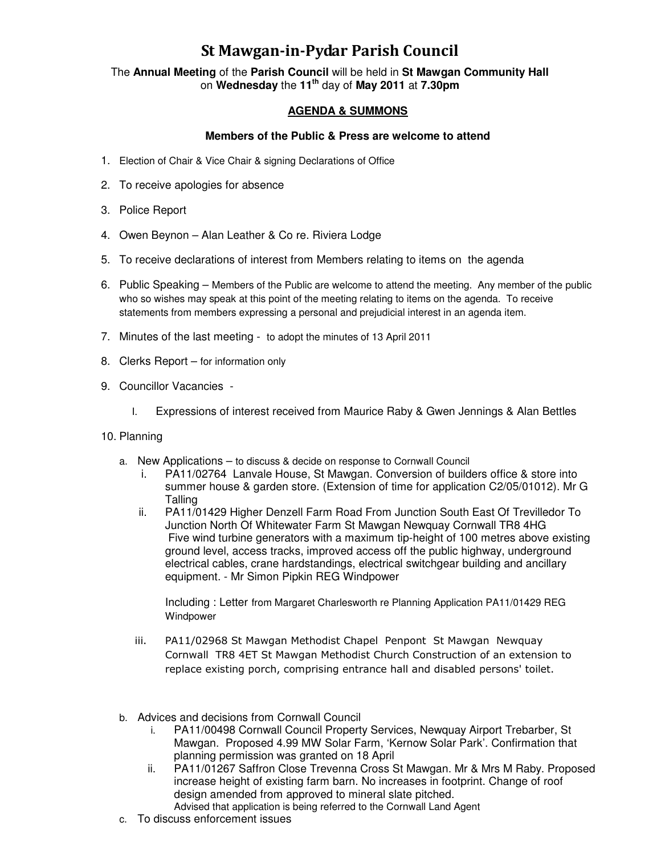## St Mawgan-in-Pydar Parish Council

The **Annual Meeting** of the **Parish Council** will be held in **St Mawgan Community Hall** on **Wednesday** the **11th** day of **May 2011** at **7.30pm** 

## **AGENDA & SUMMONS**

## **Members of the Public & Press are welcome to attend**

- 1. Election of Chair & Vice Chair & signing Declarations of Office
- 2. To receive apologies for absence
- 3. Police Report
- 4. Owen Beynon Alan Leather & Co re. Riviera Lodge
- 5. To receive declarations of interest from Members relating to items on the agenda
- 6. Public Speaking Members of the Public are welcome to attend the meeting. Any member of the public who so wishes may speak at this point of the meeting relating to items on the agenda. To receive statements from members expressing a personal and prejudicial interest in an agenda item.
- 7. Minutes of the last meeting to adopt the minutes of 13 April 2011
- 8. Clerks Report for information only
- 9. Councillor Vacancies
	- I. Expressions of interest received from Maurice Raby & Gwen Jennings & Alan Bettles
- 10. Planning
	- a. New Applications to discuss & decide on response to Cornwall Council
		- i. PA11/02764 Lanvale House, St Mawgan. Conversion of builders office & store into summer house & garden store. (Extension of time for application C2/05/01012). Mr G **Talling**
		- ii. PA11/01429 Higher Denzell Farm Road From Junction South East Of Trevilledor To Junction North Of Whitewater Farm St Mawgan Newquay Cornwall TR8 4HG Five wind turbine generators with a maximum tip-height of 100 metres above existing ground level, access tracks, improved access off the public highway, underground electrical cables, crane hardstandings, electrical switchgear building and ancillary equipment. - Mr Simon Pipkin REG Windpower

Including : Letter from Margaret Charlesworth re Planning Application PA11/01429 REG Windpower

- iii. PA11/02968 St Mawgan Methodist Chapel Penpont St Mawgan Newquay Cornwall TR8 4ET St Mawgan Methodist Church Construction of an extension to replace existing porch, comprising entrance hall and disabled persons' toilet.
- b. Advices and decisions from Cornwall Council
	- i. PA11/00498 Cornwall Council Property Services, Newquay Airport Trebarber, St Mawgan. Proposed 4.99 MW Solar Farm, 'Kernow Solar Park'. Confirmation that planning permission was granted on 18 April
	- ii. PA11/01267 Saffron Close Trevenna Cross St Mawgan. Mr & Mrs M Raby. Proposed increase height of existing farm barn. No increases in footprint. Change of roof design amended from approved to mineral slate pitched. Advised that application is being referred to the Cornwall Land Agent
- c. To discuss enforcement issues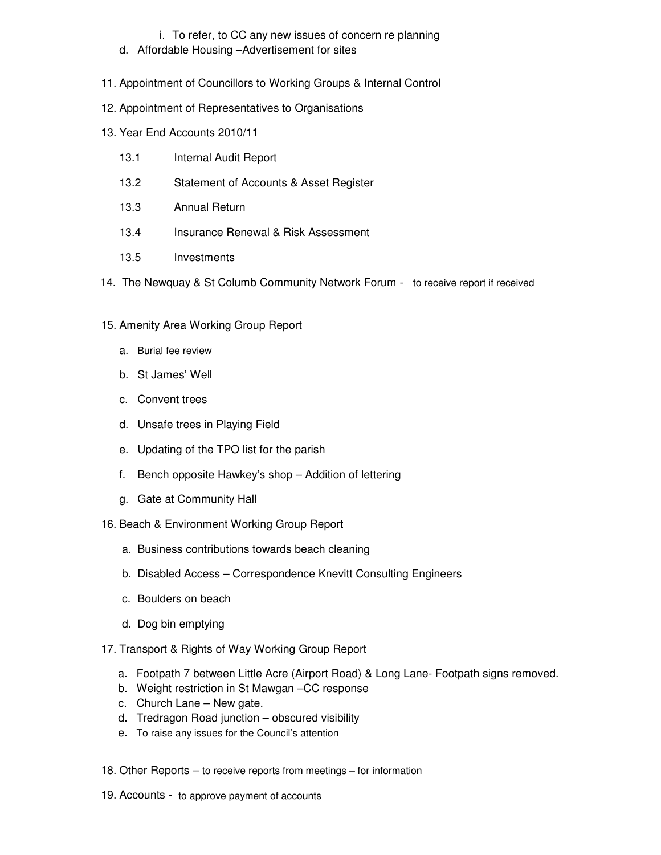## i. To refer, to CC any new issues of concern re planning

- d. Affordable Housing –Advertisement for sites
- 11. Appointment of Councillors to Working Groups & Internal Control
- 12. Appointment of Representatives to Organisations
- 13. Year End Accounts 2010/11
	- 13.1 Internal Audit Report
	- 13.2 Statement of Accounts & Asset Register
	- 13.3 Annual Return
	- 13.4 Insurance Renewal & Risk Assessment
	- 13.5 Investments
- 14. The Newquay & St Columb Community Network Forum to receive report if received
- 15. Amenity Area Working Group Report
	- a. Burial fee review
	- b. St James' Well
	- c. Convent trees
	- d. Unsafe trees in Playing Field
	- e. Updating of the TPO list for the parish
	- f. Bench opposite Hawkey's shop Addition of lettering
	- g. Gate at Community Hall
- 16. Beach & Environment Working Group Report
	- a. Business contributions towards beach cleaning
	- b. Disabled Access Correspondence Knevitt Consulting Engineers
	- c. Boulders on beach
	- d. Dog bin emptying
- 17. Transport & Rights of Way Working Group Report
	- a. Footpath 7 between Little Acre (Airport Road) & Long Lane- Footpath signs removed.
	- b. Weight restriction in St Mawgan –CC response
	- c. Church Lane New gate.
	- d. Tredragon Road junction obscured visibility
	- e. To raise any issues for the Council's attention
- 18. Other Reports to receive reports from meetings for information
- 19. Accounts to approve payment of accounts